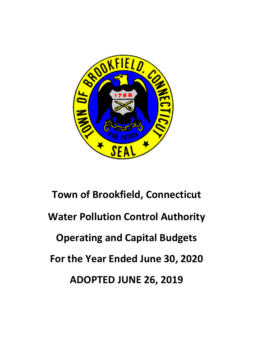

# **Town of Brookfield, Connecticut Water Pollution Control Authority Operating and Capital Budgets For the Year Ended June 30, 2020 ADOPTED JUNE 26, 2019**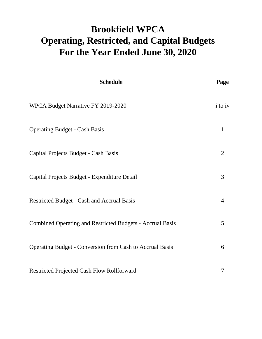# **Brookfield WPCA For the Year Ended June 30, 2020 Operating, Restricted, and Capital Budgets**

| <b>Schedule</b>                                                  | Page                  |
|------------------------------------------------------------------|-----------------------|
| WPCA Budget Narrative FY 2019-2020                               | <i>i</i> to <i>iv</i> |
| <b>Operating Budget - Cash Basis</b>                             | 1                     |
| Capital Projects Budget - Cash Basis                             | $\overline{2}$        |
| Capital Projects Budget - Expenditure Detail                     | 3                     |
| Restricted Budget - Cash and Accrual Basis                       | $\overline{4}$        |
| <b>Combined Operating and Restricted Budgets - Accrual Basis</b> | 5                     |
| Operating Budget - Conversion from Cash to Accrual Basis         | 6                     |
| <b>Restricted Projected Cash Flow Rollforward</b>                | 7                     |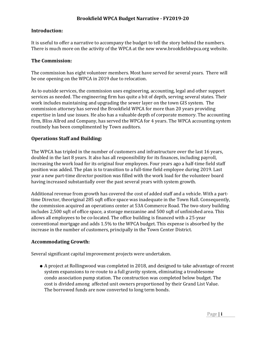#### **Introduction:**

It is useful to offer a narrative to accompany the budget to tell the story behind the numbers. There is much more on the activity of the WPCA at the new www.brookfieldwpca.org website.

#### **The Commission:**

The commission has eight volunteer members. Most have served for several years. There will be one opening on the WPCA in 2019 due to relocation.

As to outside services, the commission uses engineering, accounting, legal and other support services as needed. The engineering firm has quite a bit of depth, serving several states. Their work includes maintaining and upgrading the sewer layer on the town GIS system. The commission attorney has served the Brookfield WPCA for more than 20 years providing expertise in land use issues. He also has a valuable depth of corporate memory. The accounting firm, Bliss Allred and Company, has served the WPCA for 4 years. The WPCA accounting system routinely has been complimented by Town auditors.

#### **Operations Staff and Building:**

The WPCA has tripled in the number of customers and infrastructure over the last 16 years, doubled in the last 8 years. It also has all responsibility for its finances, including payroll, increasing the work load for its original four employees. Four years ago a half-time field staff position was added. The plan is to transition to a full-time field employee during 2019. Last year a new part-time director position was filled with the work load for the volunteer board having increased substantially over the past several years with system growth.

Additional revenue from growth has covered the cost of added staff and a vehicle. With a parttime Director, theoriginal 285 sqft office space was inadequate in the Town Hall. Consequently, the commission acquired an operations center at 53A Commerce Road. The two-story building includes 2,500 sqft of office space, a storage mezzanine and 500 sqft of unfinished area. This allows all employees to be co-located. The office building is financed with a 25-year conventional mortgage and adds 1.5% to the WPCA budget. This expense is absorbed by the increase in the number of customers, principally in the Town Center District.

#### **Accommodating Growth:**

Several significant capital improvement projects were undertaken.

● A project at Rollingwood was completed in 2018, and designed to take advantage of recent system expansions to re-route to a full gravity system, eliminating a troublesome condo association pump station. The construction was completed below budget. The cost is divided among affected unit owners proportioned by their Grand List Value. The borrowed funds are now converted to long term bonds.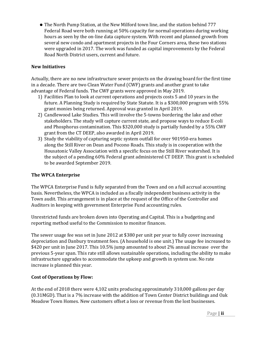● The North Pump Station, at the New Milford town line, and the station behind 777 Federal Road were both running at 50% capacity for normal operations during working hours as seen by the on-line data capture system. With recent and planned growth from several new condo and apartment projects in the Four Corners area, these two stations were upgraded in 2017. The work was funded as capital improvements by the Federal Road North District users, current and future.

#### **New Initiatives**

Actually, there are no new infrastructure sewer projects on the drawing board for the first time in a decade. There are two Clean Water Fund (CWF) grants and another grant to take advantage of Federal funds. The CWF grants were approved in May 2019.

- 1) Facilities Plan to look at current operations and projects costs 5 and 10 years in the future. A Planning Study is required by State Statute. It is a \$300,000 program with 55% grant monies being returned. Approval was granted in April 2019.
- 2) Candlewood Lake Studies. This will involve the 5-towns bordering the lake and other stakeholders. The study will capture current state, and propose ways to reduce E-coli and Phosphorus contamination. This \$320,000 study is partially funded by a 55% CWF grant from the CT DEEP, also awarded in April 2019.
- 3) Study the viability of capturing septic system outfall for over 901950-era homes along the Still River on Dean and Pocono Roads. This study is in cooperation with the Housatonic Valley Association with a specific focus on the Still River watershed. It is the subject of a pending 60% Federal grant administered CT DEEP. This grant is scheduled to be awarded September 2019.

#### **The WPCA Enterprise**

The WPCA Enterprise Fund is fully separated from the Town and on a full accrual accounting basis. Nevertheless, the WPCA is included as a fiscally independent business activity in the Town audit. This arrangement is in place at the request of the Office of the Controller and Auditors in keeping with government Enterprise Fund accounting rules.

Unrestricted funds are broken down into Operating and Capital. This is a budgeting and reporting method useful to the Commission to monitor finances.

The sewer usage fee was set in June 2012 at \$380 per unit per year to fully cover increasing depreciation and Danbury treatment fees. (A household is one unit.) The usage fee increased to \$420 per unit in June 2017. This 10.5% jump amounted to about 2% annual increase over the previous 5-year span. This rate still allows sustainable operations, including the ability to make infrastructure upgrades to accommodate the upkeep and growth in system use. No rate increase is planned this year.

#### **Cost of Operations by Flow:**

At the end of 2018 there were 4,102 units producing approximately 310,000 gallons per day (0.31MGD). That is a 7% increase with the addition of Town Center District buildings and Oak Meadow Town Homes. New customers offset a loss or revenue from the lost businesses.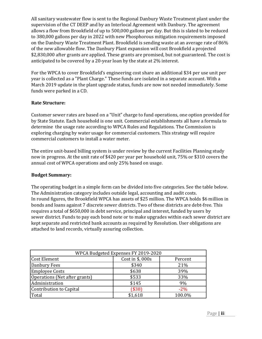All sanitary wastewater flow is sent to the Regional Danbury Waste Treatment plant under the supervision of the CT DEEP and by an Interlocal Agreement with Danbury. The agreement allows a flow from Brookfield of up to 500,000 gallons per day. But this is slated to be reduced to 380,000 gallons per day in 2022 with new Phosphorous mitigation requirements imposed on the Danbury Waste Treatment Plant. Brookfield is sending waste at an average rate of 86% of the new allowable flow. The Danbury Plant expansion will cost Brookfield a projected \$2,830,000 after grants are applied. These grants are promised, but not guaranteed. The cost is anticipated to be covered by a 20-year loan by the state at 2% interest.

For the WPCA to cover Brookfield's engineering cost share an additional \$34 per use unit per year is collected as a "Plant Charge." These funds are isolated in a separate account. With a March 2019 update in the plant upgrade status, funds are now not needed immediately. Some funds were parked in a CD.

#### **Rate Structure:**

Customer sewer rates are based on a "Unit" charge to fund operations, one option provided for by State Statute. Each household is one unit. Commercial establishments all have a formula to determine the usage rate according to WPCA Rules and Regulations. The Commission is exploring charging by water usage for commercial customers. This strategy will require commercial customers to install a water meter.

The entire unit-based billing system is under review by the current Facilities Planning study now in progress. At the unit rate of \$420 per year per household unit, 75% or \$310 covers the annual cost of WPCA operations and only 25% based on usage.

#### **Budget Summary:**

The operating budget in a simple form can be divided into five categories. See the table below. The Administration category includes outside legal, accounting and audit costs. In round figures, the Brookfield WPCA has assets of \$25 million. The WPCA holds \$6 million in bonds and loans against 7 discrete sewer districts. Two of these districts are debt-free. This requires a total of \$650,000 in debt service, principal and interest, funded by users by sewer district. Funds to pay each bond note or to make upgrades within each sewer district are kept separate and restricted bank accounts as required by Resolution. User obligations are attached to land records, virtually assuring collection.

| WPCA Budgeted Expenses FY 2019-2020 |                  |         |  |  |  |  |  |
|-------------------------------------|------------------|---------|--|--|--|--|--|
| Cost Element                        | Cost in \$, 000s | Percent |  |  |  |  |  |
| Danbury Fees                        | \$340            | 21%     |  |  |  |  |  |
| <b>Employee Costs</b>               | \$638            | 39%     |  |  |  |  |  |
| Operations (Net after grants)       | \$533            | 33%     |  |  |  |  |  |
| Administration                      | \$145            | 9%      |  |  |  |  |  |
| Contribution to Capital             | $($ \$38)        | $-2\%$  |  |  |  |  |  |
| Total                               | \$1,618          | 100.0%  |  |  |  |  |  |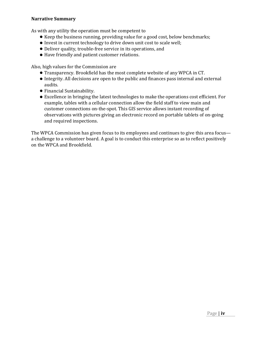#### **Narrative Summary**

As with any utility the operation must be competent to

- Keep the business running, providing value for a good cost, below benchmarks;
- Invest in current technology to drive down unit cost to scale well;
- Deliver quality, trouble-free service in its operations, and
- Have friendly and patient customer relations.

Also, high values for the Commission are

- Transparency. Brookfield has the most complete website of any WPCA in CT.
- Integrity. All decisions are open to the public and finances pass internal and external audits.
- Financial Sustainability.
- Excellence in bringing the latest technologies to make the operations cost efficient. For example, tables with a cellular connection allow the field staff to view main and customer connections on-the-spot. This GIS service allows instant recording of observations with pictures giving an electronic record on portable tablets of on-going and required inspections.

The WPCA Commission has given focus to its employees and continues to give this area focus a challenge to a volunteer board. A goal is to conduct this enterprise so as to reflect positively on the WPCA and Brookfield.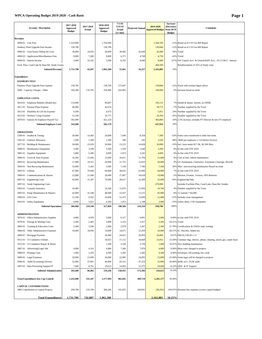#### **WPCA Operating Budget 2019-2020 - Cash Basis Page 1**

| <b>Account / Description</b>                     | 2017-2018<br>Approved<br><b>Budget</b> | 2017-2018<br>Actual      | 2018-2019<br><b>Approved</b><br><b>Budget</b> | 7/1/18<br>5/31/19<br>Actual<br>$(11 \text{ mos})$ | <b>Projected Annual</b> | 2019-2020<br><b>Approved Budget</b> | Increase/<br>(Decrease)<br>from 18/19<br><b>Budget</b> | <b>Comments</b>                                                         |
|--------------------------------------------------|----------------------------------------|--------------------------|-----------------------------------------------|---------------------------------------------------|-------------------------|-------------------------------------|--------------------------------------------------------|-------------------------------------------------------------------------|
| <b>Revenues</b>                                  |                                        |                          |                                               |                                                   |                         |                                     |                                                        |                                                                         |
| $4000-01$ · User Fees                            | 1,533,000                              |                          | 1,764,000                                     |                                                   |                         | 1,560,785                           |                                                        | -12% Based on 6/1/19 Use Bill Report                                    |
| Danbury Plant Upgrade Fees Income                | 158,700                                |                          | 158,700                                       |                                                   |                         | 139,846                             |                                                        | -12% Based on 6/1/19 Use Bill Report                                    |
| 4900-02 · User/Assess Delinq Int./Lien           | 30,000                                 | 24,935                   | 28,000                                        | 39,095                                            | 42,649                  | 42,000                              |                                                        | 50% Trend                                                               |
| 4900-03 · Application/Miscellaneous Fees         | 8,000                                  | 7,600                    | 8,000                                         | 4,371                                             | 4,768                   | 4,750                               |                                                        | -41% Trend                                                              |
| 9000-03 · Interest Income                        | 2,000                                  | 10,162                   | 3,500                                         | 8,195                                             | 8,940                   | 9,000                               |                                                        | 157% SW Capital Acct. & Unused BAN Acct., 2% CCRCC Interest             |
| Facil. Plan, Cand Lake & Dean Rd. Study Grants   |                                        |                          |                                               |                                                   |                         | 406,500                             |                                                        | Reimbursement of 55% of Study costs                                     |
| <b>Subtotal Revenue</b>                          | 1,731,700                              | 42,697                   | 1,962,200                                     | 51,661                                            | 56,357                  | 2,162,881                           | 10%                                                    |                                                                         |
|                                                  |                                        |                          |                                               |                                                   |                         |                                     |                                                        |                                                                         |
| <b>Expenditures</b>                              |                                        |                          |                                               |                                                   |                         |                                     |                                                        |                                                                         |
| <b>DANBURY FEES</b>                              |                                        |                          |                                               |                                                   |                         |                                     |                                                        |                                                                         |
| Danbury Plant Upgrade Fees expense               | 158,700                                |                          | 158,700                                       | 173,647                                           |                         | 139,846                             |                                                        | -12% Wash with revenue figure above                                     |
| 5000 · Capacity Charges - Other                  | 320,300                                | 176,765                  | 350,000                                       | 432,803                                           |                         | 340,000                             |                                                        | -3% Increase based on trend                                             |
|                                                  |                                        |                          |                                               |                                                   |                         |                                     |                                                        |                                                                         |
| <b>EMPLOYEE COSTS</b>                            |                                        |                          |                                               |                                                   |                         |                                     |                                                        |                                                                         |
| 5810-01 · Employee Benefits (Health Ins)         | 119,000                                |                          | 96,807                                        |                                                   |                         | 103,131                             |                                                        | 7% Health & dental, retirees, no OPEB                                   |
| 5811-01 · Pension Plans Expense                  | 40,000                                 |                          | 42,674                                        |                                                   |                         | 39,775                              |                                                        | -7% Number supplied by the Town                                         |
| 5812-01 · Disability & Life Ins Expense          | 4,500                                  |                          | 4,672                                         |                                                   |                         | 5,811                               |                                                        | 24% Number supplied by the Town                                         |
| 5813-01 · Workers' Comp Expense                  | 15,100                                 |                          | 16,771                                        |                                                   |                         | 24,356                              |                                                        | 45% Number supplied by the Town                                         |
| 5870-01 · Salaries & Employer Payroll Tax        | 365,000                                |                          | 421,254                                       |                                                   |                         | 464,860                             |                                                        | 10% 2.5% increase, includes PT Director & new FT employee               |
| <b>Subtotal Employee Costs</b>                   | 543,600                                | $\blacksquare$           | 582,179                                       |                                                   |                         | 637,932                             | 10%                                                    |                                                                         |
|                                                  |                                        |                          |                                               |                                                   |                         |                                     |                                                        |                                                                         |
| <b>OPERATIONS</b><br>5289-01 · Studies & Testing | 20,000                                 | 14,443                   | 20,000                                        | 7,640                                             | 8,334                   | 7,500                               |                                                        | -63% Some costs transferred to other line items                         |
| 5301-01 · Uniform Allowance                      | 1,500                                  | 1,500                    | 1,500                                         | 500                                               | 545                     | 2,520                               | 68%                                                    | \$840 per employee x 3 (Uniform Service)                                |
| 5877-01 · Building & Maintenance                 | 30,000                                 | 22,029                   | 30,000                                        | 13,225                                            | 14,428                  | 20,000                              |                                                        | -33% Incl. lawn maint \$17.5K, \$2,500 Misc                             |
|                                                  | 3,500                                  | 3,298                    | 3,500                                         | 1,504                                             | 1,640                   | 3,500                               |                                                        | 0% In line with FYE 2019                                                |
| 5880-01 · Maintenance Equipment                  |                                        |                          |                                               |                                                   |                         |                                     |                                                        |                                                                         |
| 5881-01 · Supplies Equipment                     | 5,000                                  | 6,286                    | 4,000                                         | 2,974<br>10,811                                   | 3,245                   | 4,000                               |                                                        | 0% In line with FYE 2019                                                |
| 5886-01 · Truck & Auto Expense                   | 16,500                                 | 15,696                   | 15,000                                        |                                                   | 11,794                  | 15,000                              |                                                        | 0% Cost of fuel, vehicle maintenance                                    |
| 5893-01 · Recurring Maintenance                  | 17,000                                 | 19,551                   | 20,000                                        | 11,755                                            | 12,823                  | 20,000                              |                                                        | 0% US Automation, Generators, Easements Clearings, Bioxide              |
| 5894-01 · Non-Recurring Maintenance              | 10,000                                 | 5,442                    | 5,000                                         | 7,138                                             | 7,786                   | 7,500                               |                                                        | 50% Misc. non-recurring maintenance Based on trend                      |
| 5895-01 · Utilities                              | 67,000                                 | 70,040                   | 60,000                                        | 58,635                                            | 63,966                  | 64,000                              |                                                        | 7% In line with FYE 2019                                                |
| 5896-01 · Communications & Alarms                | 22,000                                 | 21,949                   | 20,000                                        | 17,067                                            | 18,618                  | 19,000                              |                                                        | -5% Mission, Frontier, Verizon, UPS Batteries                           |
| 5897-01 · Engineering Costs                      | 45,000                                 | 31,307                   | 70,000                                        | 29,617                                            | 32,309                  | 35,000                              |                                                        | -50% Engineering Only                                                   |
| 5897-01 · Study Engineering Costs                |                                        |                          |                                               |                                                   |                         | 670,000                             |                                                        | Includes Facilities Plan, Cand Lake, Dean Rd. Studies                   |
| 5902-01 · Casualty Insurance                     | 10,400                                 |                          | 10,369                                        | 11,876                                            | 12,956                  | 10,766                              |                                                        | 4% Number supplied by the Town                                          |
| 5905-01 · Pump Maintenance & Repairs             | 42,000                                 | 32,548                   | 48,000                                        | 12,037                                            | 13,131                  | 45,000                              |                                                        | $-6\%$ 15 stations * \$3,000                                            |
| 5909-01 · GIS Costs                              | 12,100                                 | 9,432                    | 16,000                                        | 12,475                                            | 13,609                  | 12,000                              |                                                        | -25% Includes asset management                                          |
| 5910-01 · Safety Equipment                       | 4,000                                  | 5,821                    | 4,500                                         | 1,053                                             | 1,148                   | 3,000                               |                                                        | -33% Safety shoes, CSE Equipment                                        |
| <b>Subtotal Operations</b>                       | 306,000                                | 259,340                  | 327,869                                       | 198,306                                           | 216,334                 | 938,786                             | 186%                                                   |                                                                         |
| <b>ADMINISTRATION</b>                            |                                        |                          |                                               |                                                   |                         |                                     |                                                        |                                                                         |
| 5876-01 · Office/Administrative Supplies         | 4,000                                  | 4,939                    | 5,000                                         | 6,317                                             | 6,891                   | 5,000                               |                                                        | 0.00% In line with FYE 2019                                             |
| 5878-01 · Postage & Mailing Costs                | 2,500                                  | 2,482                    | 3,800                                         | 2,216                                             | 2,417                   | 2,500                               | -34.21% Trend                                          |                                                                         |
| 5883-01 · Training & Education Costs             | 2,300                                  | 3,596                    | 1,800                                         | 2,078                                             | 2,267                   | 2,300                               |                                                        | 27.78% Certifications & OSHA reqd. training                             |
| 5884-02 Other Administrative Expenses            | 10,000                                 | 18,956                   | 14,000                                        | 14,071                                            | 15,350                  | 10,000                              |                                                        | -28.57% IC, Paychex, Indem Ins.                                         |
| 2800-07 · Mortgage Payment                       |                                        | $\overline{\phantom{a}}$ | 26,680                                        | 24,621                                            | 26,859                  | 26,860                              |                                                        | 0.67% P&I \$2,238.28 x 12                                               |
| 5912-01 · 53 Commerce Utilities                  |                                        | $\overline{\phantom{a}}$ | 18,653                                        | 17,112                                            | 18,668                  | 23,052                              |                                                        | 23.58% Common chgs, electric, phone, cleaning, alarm, gas, copier lease |
| 5913-01 · 53 Commerce Repair & Maint             |                                        | $\overline{\phantom{a}}$ | 1,200                                         | 2,528                                             | 2,758                   | 1,400                               |                                                        | 16.67% New building maintenance                                         |
| 5887-01 · Advertising/Legal Ads                  | 4,000                                  | 4,101                    | 4,000                                         | 7,306                                             | 7,970                   | 4,000                               |                                                        | 0.00% Most costs charged to projects                                    |
| 5888-01 · Printing Costs                         | 1,000                                  | 2,435                    | 4,500                                         | 3,283                                             | 3,582                   | 4,500                               |                                                        | 0.00% Envelopes, bill printing, bus cards                               |
| 5889-01 · Legal Expenses                         | 20,000                                 | 13,009                   | 20,000                                        | 22,085                                            | 24,093                  | 15,000                              |                                                        | -25.00% Some legal will be charged to projects                          |
| 5906-01 · Audit/Accounting Services              | 52,000                                 | 37,801                   | 40,000                                        | 43,315                                            | 47,253                  | 32,000                              |                                                        | -20.00% \$20K acct., \$12K audit                                        |
| 5907-01 · Data Processing Support/IT             | 7,600                                  | 8,761                    | 19,613                                        | 14,002                                            | 15,275                  | 18,000                              |                                                        | -8.22% QDS & IT Support                                                 |
| <b>Subtotal Administration</b>                   | 103,400                                | 96,082                   | 159,246                                       | 158,935                                           | 173,384                 | 144,612                             | $-9.19%$                                               |                                                                         |
|                                                  |                                        |                          |                                               |                                                   |                         |                                     |                                                        |                                                                         |
| <b>Total Expenditures less Cap Contrib</b>       | 1,432,000                              | 532,187                  | 1,577,994                                     | 963,692                                           | 389,718                 | 2,201,177                           | 39.49%                                                 |                                                                         |
| <b>CAPITAL CONTRIBUTIONS</b>                     |                                        |                          |                                               |                                                   |                         |                                     |                                                        |                                                                         |
| 5885 Contribution to Capital Projects            | 299,700                                | 210,700                  | 384,206                                       | 191,853                                           | 328,891                 | (38, 295)                           |                                                        | -109.97% Revenue less expenses (covers capital budget)                  |
|                                                  |                                        |                          |                                               |                                                   |                         |                                     |                                                        |                                                                         |
| <b>Total Expenditures</b>                        | 1,731,700                              | 742,887                  | 1,962,200                                     |                                                   |                         | 2,162,881                           | 10.23%                                                 |                                                                         |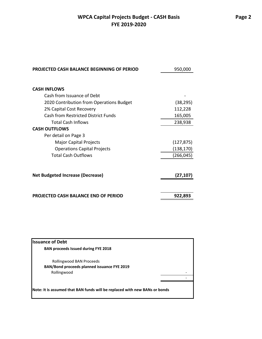## **WPCA Capital Projects Budget - CASH Basis FYE 2019-2020**

| <b>PROJECTED CASH BALANCE BEGINNING OF PERIOD</b> | 950,000    |
|---------------------------------------------------|------------|
|                                                   |            |
| <b>CASH INFLOWS</b>                               |            |
| Cash from Issuance of Debt                        |            |
| 2020 Contribution from Operations Budget          | (38, 295)  |
| 2% Capital Cost Recovery                          | 112,228    |
| <b>Cash from Restricted District Funds</b>        | 165,005    |
| <b>Total Cash Inflows</b>                         | 238,938    |
| <b>CASH OUTFLOWS</b>                              |            |
| Per detail on Page 3                              |            |
| Major Capital Projects                            | (127, 875) |
| <b>Operations Capital Projects</b>                | (138,170)  |
| <b>Total Cash Outflows</b>                        | (266, 045) |
| <b>Net Budgeted Increase (Decrease)</b>           | (27, 107)  |
| <b>PROJECTED CASH BALANCE END OF PERIOD</b>       | 922,893    |

| <b>BAN proceeds Issued during FYE 2018</b>                                 |  |
|----------------------------------------------------------------------------|--|
|                                                                            |  |
| Rollingwood BAN Proceeds                                                   |  |
| BAN/Bond proceeds planned issuance FYE 2019                                |  |
| Rollingwood                                                                |  |
|                                                                            |  |
|                                                                            |  |
| Note: It is assumed that BAN funds will be replaced with new BANs or bonds |  |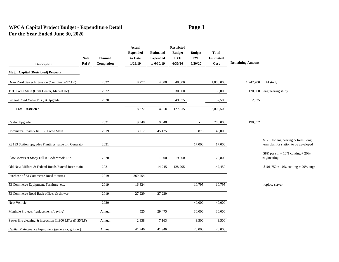### **WPCA Capital Project Budget - Expenditure Detail Page 3 For the Year Ended June 30, 2020**

|                                                                    |             |                | <b>Actual</b>   |                  | <b>Restricted</b> |                          |                  |                         |                                                                             |
|--------------------------------------------------------------------|-------------|----------------|-----------------|------------------|-------------------|--------------------------|------------------|-------------------------|-----------------------------------------------------------------------------|
|                                                                    |             |                | <b>Expended</b> | <b>Estimated</b> | <b>Budget</b>     | <b>Budget</b>            | <b>Total</b>     |                         |                                                                             |
|                                                                    | <b>Note</b> | <b>Planned</b> | to Date         | <b>Expended</b>  | <b>FYE</b>        | <b>FYE</b>               | <b>Estimated</b> |                         |                                                                             |
| <b>Description</b>                                                 | Ref#        | Completion     | 1/29/19         | to 6/30/19       | 6/30/20           | 6/30/20                  | Cost             | <b>Remaining Amount</b> |                                                                             |
| <b>Major Capital (Restricted) Projects</b>                         |             |                |                 |                  |                   |                          |                  |                         |                                                                             |
| Dean Road Sewer Extension (Combine w/TCD?)                         |             | 2022           | 8,277           | 4,300            | 48,000            |                          | 1,800,000        |                         | 1,747,700 LAI study                                                         |
| TCD Force Main (Craft Center, Market etc)                          |             | 2022           |                 |                  | 30,000            |                          | 150,000          |                         | 120,000 engineering study                                                   |
| Federal Road Valve Pits (3) Upgrade                                |             | 2020           |                 |                  | 49,875            |                          | 52,500           | 2,625                   |                                                                             |
| <b>Total Restricted</b>                                            |             |                | 8,277           | 4,300            | 127,875           | $\overline{\phantom{a}}$ | 2,002,500        |                         |                                                                             |
| Caldor Upgrade                                                     |             | 2021           | 9,348           | 9,348            |                   | $\overline{\phantom{a}}$ | 200,000          | 190,652                 |                                                                             |
| Commerce Road & Rt. 133 Force Main                                 |             | 2019           | 3,217           | 45,125           |                   | 875                      | 46,000           |                         |                                                                             |
| Rt 133 Station upgrades Plantings, valve pit, Generator            |             | 2021           |                 |                  |                   | 17,000                   | 17,000           |                         | \$17K for engineering & trees Long<br>term plan for station to be developed |
| Flow Meters at Stony Hill & Cedarbrook PS's                        |             | 2020           |                 | 1,000            | 19,800            |                          | 20,800           |                         | $$8K$ per stn + 10% conting + 20%<br>engineering                            |
| Old New Milford & Federal Roads Extend force main                  |             | 2021           |                 | 14,245           | 128,205           |                          | 142,450          |                         | $$101,750 + 10\%$ conting + 20% eng+                                        |
| Purchase of 53 Commerce Road + extras                              |             | 2019           | 260,254         |                  |                   |                          |                  |                         |                                                                             |
| 53 Commerce Equipment, Furniture, etc.                             |             | 2019           | 16,324          |                  |                   | 10,795                   | 10,795           |                         | replace server                                                              |
| 53 Commerce Road Back offices & shower                             |             | 2019           | 27,229          | 27,229           |                   |                          |                  |                         |                                                                             |
| New Vehicle                                                        |             | 2020           |                 |                  |                   | 40,000                   | 40,000           |                         |                                                                             |
| Manhole Projects (replacements/paving)                             |             | Annual         | 525             | 29,475           |                   | 30,000                   | 30,000           |                         |                                                                             |
| Sewer line cleaning & inspection $(1,900 \text{ LF/yr } @$ \$5/LF) |             | Annual         | 2,338           | 7,163            |                   | 9,500                    | 9,500            |                         |                                                                             |
| Capital Maintenance Equipment (generator, grinder)                 |             | Annual         | 41,946          | 41,946           |                   | 20,000                   | 20,000           |                         |                                                                             |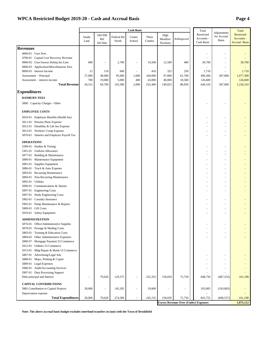#### **WPCA Restricted Budget 2019-20 - Cash and Accrual Basis Page 4**

|                                                                                    |               |                          |            | <b>Cash Basis</b>        |                 |                    |                                             | Total                    |                            | Total                              |
|------------------------------------------------------------------------------------|---------------|--------------------------|------------|--------------------------|-----------------|--------------------|---------------------------------------------|--------------------------|----------------------------|------------------------------------|
|                                                                                    |               | Old NM                   | Federal Rd |                          |                 | High               |                                             | Restricted               | Adjustments<br>for Accrual | Restricted                         |
|                                                                                    | Sandy<br>Lane | Rd/<br>Del Mar           | North      | Center<br>School         | Three<br>Condos | Meadow/<br>Newbury | Rollingwood                                 | Accounts -<br>Cash Basis | <b>Basis</b>               | Accounts -<br><b>Accrual Basis</b> |
| <b>Revenues</b>                                                                    |               |                          |            |                          |                 |                    |                                             |                          |                            |                                    |
|                                                                                    |               |                          |            |                          |                 |                    |                                             |                          |                            |                                    |
| $4000-01$ · User Fees<br>4700-01 · Capital Cost Recovery Revenue                   |               |                          |            |                          |                 |                    |                                             |                          |                            |                                    |
|                                                                                    | 600           | $\overline{\phantom{a}}$ | 2,700      |                          | 14,500          | 12,500             | 400                                         |                          |                            |                                    |
| 4900-02 · User/Assess Delinq Int./Lien<br>4900-03 · Application/Miscellaneous Fees |               |                          |            | $\overline{\phantom{a}}$ |                 |                    |                                             | 30,700                   |                            | 30,700                             |
| 9000-03 · Interest Income                                                          | 15            | 110                      | 600        |                          | 410             | 325                | 250                                         | 1,710                    |                            | 1,710                              |
| Assessment - Principal                                                             | 27,000        | 48,000                   | 95,000     | 1,600                    | 160,000         | 97,000             | 61,700                                      | 490,300                  | 587,000                    | 1,077,300                          |
| Assessment - interest income                                                       | 700           | 19,000                   | 5,000      | 400                      | 43,000          | 40,000             | 18,500                                      | 126,600                  | ×.                         | 126,600                            |
| <b>Total Revenue</b>                                                               | 28,315        | 69,700                   | 103,300    | 2,000                    | 232,400         | 149,825            | 80,850                                      | 649,310                  | 587,000                    | 1,236,310                          |
| <b>Expenditures</b>                                                                |               |                          |            |                          |                 |                    |                                             |                          |                            |                                    |
| <b>DANBURY FEES</b>                                                                |               |                          |            |                          |                 |                    |                                             |                          |                            |                                    |
|                                                                                    |               |                          |            |                          |                 |                    |                                             |                          |                            |                                    |
| 5000 · Capacity Charges - Other                                                    |               |                          |            |                          |                 |                    |                                             |                          |                            |                                    |
| <b>EMPLOYEE COSTS</b>                                                              |               |                          |            |                          |                 |                    |                                             |                          |                            |                                    |
| 5810-01 · Employee Benefits (Health Ins)                                           |               |                          |            |                          |                 |                    |                                             |                          |                            |                                    |
| 5811-01 · Pension Plans Expense                                                    |               |                          |            |                          |                 |                    |                                             |                          |                            |                                    |
| 5812-01 · Disability & Life Ins Expense                                            |               |                          |            |                          |                 |                    |                                             |                          |                            |                                    |
| 5813-01 · Workers' Comp Expense                                                    |               |                          |            |                          |                 |                    |                                             |                          |                            |                                    |
| 5870-01 · Salaries and Employer Payroll Tax                                        |               |                          |            |                          |                 |                    |                                             |                          |                            |                                    |
| <b>OPERATIONS</b>                                                                  |               |                          |            |                          |                 |                    |                                             |                          |                            |                                    |
| 5289-01 · Studies & Testing                                                        |               |                          |            |                          |                 |                    |                                             |                          |                            |                                    |
| 5301-01 · Uniform Allowance                                                        |               |                          |            |                          |                 |                    |                                             |                          |                            |                                    |
| 5877-01 · Building & Maintenance                                                   |               |                          |            |                          |                 |                    |                                             |                          |                            |                                    |
| 5880-01 · Maintenance Equipment                                                    |               |                          |            |                          |                 |                    |                                             |                          |                            |                                    |
| 5881-01 · Supplies Equipment                                                       |               |                          |            |                          |                 |                    |                                             |                          |                            |                                    |
| 5886-01 · Truck & Auto Expense                                                     |               |                          |            |                          |                 |                    |                                             |                          |                            |                                    |
| 5893-01 · Recurring Maintenance                                                    |               |                          |            |                          |                 |                    |                                             |                          |                            |                                    |
| 5894-01 · Non-Recurring Maintenance                                                |               |                          |            |                          |                 |                    |                                             |                          |                            |                                    |
| 5895-01 · Utilities                                                                |               |                          |            |                          |                 |                    |                                             |                          |                            |                                    |
| 5896-01 · Communications & Alarms                                                  |               |                          |            |                          |                 |                    |                                             |                          |                            |                                    |
| 5897-01 · Engineering Costs                                                        |               |                          |            |                          |                 |                    |                                             |                          |                            |                                    |
| 5897-01 · Study Engineering Costs                                                  |               |                          |            |                          |                 |                    |                                             |                          |                            |                                    |
| 5902-01 · Casualty Insurance                                                       |               |                          |            |                          |                 |                    |                                             |                          |                            |                                    |
| 5905-01 · Pump Maintenance & Repairs                                               |               |                          |            |                          |                 |                    |                                             |                          |                            |                                    |
| 5909-01 · GIS Costs                                                                |               |                          |            |                          |                 |                    |                                             |                          |                            |                                    |
| 5910-01 · Safety Equipment                                                         |               |                          |            |                          |                 |                    |                                             |                          |                            |                                    |
| <b>ADMINISTRATION</b>                                                              |               |                          |            |                          |                 |                    |                                             |                          |                            |                                    |
| 5876-01 · Office/Administrative Supplies                                           |               |                          |            |                          |                 |                    |                                             |                          |                            |                                    |
| 5878-01 · Postage & Mailing Costs                                                  |               |                          |            |                          |                 |                    |                                             |                          |                            |                                    |
| 5883-01 · Training & Education Costs                                               |               |                          |            |                          |                 |                    |                                             |                          |                            |                                    |
| 5884-02 · Other Administrative Expenses                                            |               |                          |            |                          |                 |                    |                                             |                          |                            |                                    |
| 2800-07 · Mortgage Payment 53 Commerce                                             |               |                          |            |                          |                 |                    |                                             |                          |                            |                                    |
| 5912-01 · Utilities 53 Commerce                                                    |               |                          |            |                          |                 |                    |                                             |                          |                            |                                    |
| 5913-01 · Bldg Repair & Maint 53 Commerce                                          |               |                          |            |                          |                 |                    |                                             |                          |                            |                                    |
| 5887-01 · Advertising/Legal Ads                                                    |               |                          |            |                          |                 |                    |                                             |                          |                            |                                    |
| 5888-01 · Maps, Printing & Copier                                                  |               |                          |            |                          |                 |                    |                                             |                          |                            |                                    |
| 5889-01 · Legal Expenses                                                           |               |                          |            |                          |                 |                    |                                             |                          |                            |                                    |
| 5906-01 · Audit/Accounting Services                                                |               |                          |            |                          |                 |                    |                                             |                          |                            |                                    |
| 5907-01 · Data Processing Support                                                  |               |                          |            |                          |                 |                    |                                             |                          |                            |                                    |
| Debt principal and Interest                                                        |               | 70,620                   | 129,375    |                          | 225,355         | 150,650            | 72,750                                      | 648,750                  | (487, 552)                 | 161,198                            |
| <b>CAPITAL CONTRIBUTIONS</b>                                                       |               |                          |            |                          |                 |                    |                                             |                          |                            |                                    |
| 5885 Contribution to Capital Projects                                              | 28,000        | ł,                       | 145,205    |                          | 19,800          |                    |                                             | 193,005                  | (193,005)                  |                                    |
| Depreciation expense<br><b>Total Expenditures</b>                                  | 28,000        | 70,620                   | 274,580    | $\overline{\phantom{a}}$ | 245,155         | 150,650            | 72,750                                      | 841,755                  | (680, 557)                 | 161,198                            |
|                                                                                    |               |                          |            |                          |                 |                    | <b>Excess Revenue Over (Under) Expenses</b> |                          |                            | 1,075,112                          |

**Note: The above accrual basis budget excludes interfund transfers in (out) with the Town of Brookfield**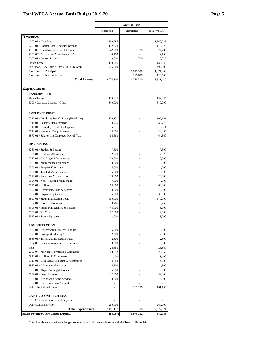#### **Total WPCA Accrual Basis Budget 2019-20 Page 5**

|                                                                  |            | <b>Accrual Basis</b> |                   |
|------------------------------------------------------------------|------------|----------------------|-------------------|
|                                                                  | Operating  | Restricted           | <b>Total WPCA</b> |
| <b>Revenues</b>                                                  |            |                      |                   |
| $4000-01$ · User Fees                                            | 1,560,785  | $\bar{ }$            | 1,560,785         |
| 4700-01 Capital Cost Recovery Revenue                            | 112,228    |                      | 112,228           |
| 4900-02 · User/Assess Delinq Int./Lien                           | 42,000     | 30,700               | 72,700            |
| 4900-03 · Application/Miscellaneous Fees                         | 4,750      |                      | 4,750             |
| 9000-03 · Interest Income                                        | 9,000      | 1,710                | 10,710            |
| Plant Charge                                                     | 139,846    |                      | 139,846           |
| Facil Plan, Cand Lake & Dean Rd Study Grant                      | 406,500    |                      | 406,500           |
| Assessment - Principal                                           |            | 1,077,300            | 1,077,300         |
| Assessment - interest income                                     |            | 126,600              | 126,600           |
| <b>Total Revenue</b>                                             | 2,275,109  | 1,236,310            | 3,511,419         |
| <b>Expenditures</b>                                              |            |                      |                   |
| <b>DANBURY FEES</b>                                              |            |                      |                   |
| <b>Plant Charge</b>                                              | 139,846    |                      | 139,846           |
| 5000 · Capacity Charges - Other                                  | 340,000    |                      | 340,000           |
| <b>EMPLOYEE COSTS</b>                                            |            |                      |                   |
| 5810-01 · Employee Benefit Plans (Health Ins)                    | 103,131    |                      | 103,131           |
| 5811-01 · Pension Plans Expense                                  | 39,775     |                      | 39,775            |
| 5812-01 · Disability & Life Ins Expense                          | 5,811      |                      | 5,811             |
| 5813-01 · Workers' Comp Expense                                  | 24,356     |                      | 24,356            |
| 5870-01 · Salaries and Employer Payroll Tax                      | 464,860    |                      | 464,860           |
| <b>OPERATIONS</b>                                                |            |                      |                   |
| 5289-01 · Studies & Testing                                      | 7,500      |                      | 7,500             |
| 5301-01 · Uniform Allowance                                      | 2,520      |                      | 2,520             |
| 5877-01 · Building & Maintenance                                 | 20,000     |                      | 20,000            |
|                                                                  |            |                      | 3,500             |
| 5880-01 · Maintenance Equipment                                  | 3,500      | ÷,                   |                   |
| 5881-01 · Supplies Equipment                                     | 4,000      |                      | 4,000             |
| 5886-01 · Truck & Auto Expense                                   | 15,000     | ٠                    | 15,000            |
| 5893-01 · Recurring Maintenance                                  | 20,000     |                      | 20,000            |
| 5894-01 · Non-Recurring Maintenance                              | 7,500      | ٠                    | 7,500             |
| 5895-01 · Utilities                                              | 64,000     |                      | 64,000            |
| 5896-01 · Communications & Alarms                                | 19,000     | ٠                    | 19,000            |
| 5897-01 · Engineering Costs                                      | 35,000     | ä,                   | 35,000            |
| 5897-01 · Study Engineering Costs                                | 670,000    |                      | 670,000           |
| 5902-01 · Casualty Insurance                                     | 10,766     |                      | 10,766            |
| 5905-01 · Pump Maintenance & Repairs                             | 45,000     |                      | 45,000            |
| 5909-01 GIS Costs                                                | 12,000     |                      | 12,000            |
| 5910-01 · Safety Equipment                                       | 3,000      |                      | 3,000             |
| <b>ADMINISTRATION</b>                                            |            |                      |                   |
| 5876-01 Office/Administrative Supplies                           | 5,000      |                      | 5,000             |
| 5878-01 · Postage & Mailing Costs                                | 2,500      |                      | 2,500             |
| 5883-01 Training & Education Costs                               | 2,300      |                      | 2,300             |
| 5884-02 Other Administrative Expenses                            | 10,000     |                      | 10,000            |
| Rent                                                             | 26,860     |                      | 26,860            |
| 2800-07 · Mortgage Payment 53 Commerce                           | 23,052     |                      | 23,052            |
| 5912-01 · Utilities 53 Commerce                                  | 1,400      |                      | 1,400             |
| 5913-01 · Bldg Repair & Maint 53 Commerce                        | 4,000      |                      | 4,000             |
|                                                                  |            |                      |                   |
| 5887-01 · Advertising/Legal Ads                                  | 4,500      |                      | 4,500             |
| 5888-01 · Maps, Printing & Copier                                | 15,000     |                      | 15,000            |
| 5889-01 · Legal Expenses                                         | 32,000     |                      | 32,000            |
| 5906-01 · Audit/Accounting Services                              | 18,000     |                      | 18,000            |
| 5907-01 · Data Processing Support<br>Debt principal and Interest |            | 161,198              | 161,198           |
|                                                                  |            |                      |                   |
| <b>CAPITAL CONTRIBUTIONS</b>                                     |            |                      |                   |
| 5885 Contribution to Capital Projects                            |            |                      |                   |
| Depreciation expense                                             | 260,000    |                      | 260,000           |
| <b>Total Expenditures</b>                                        | 2,461,177  | 161,198              | 2,622,374         |
| <b>Excess Revenue Over (Under) Expenses</b>                      | (186, 067) | 1,075,112            | 889,045           |

'n

Note: The above accrual basis budget excludes interfund transfers in (out) with the Town of Brookfield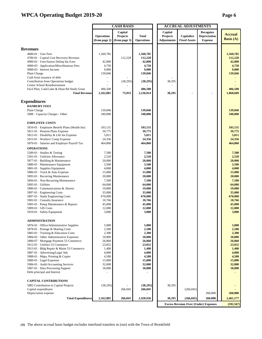## **WPCA Operating Budget 2019-20 Page 6**

|                                                                                                                                                                         | <b>CASH BASIS</b>                  |                                             |                                         |  | <b>ACCRUAL ADJUSTMENTS</b>                |                                   |                                                    |                                         |
|-------------------------------------------------------------------------------------------------------------------------------------------------------------------------|------------------------------------|---------------------------------------------|-----------------------------------------|--|-------------------------------------------|-----------------------------------|----------------------------------------------------|-----------------------------------------|
|                                                                                                                                                                         | <b>Operations</b><br>(from page 2) | Capital<br><b>Projects</b><br>(from page 3) | <b>Total</b><br><b>Operations</b>       |  | Capital<br>Projects<br><b>Adjustments</b> | Capitalize<br><b>Fixed Assets</b> | Recognize<br><b>Depreciation</b><br><b>Expense</b> | <b>Accrual</b><br><b>Basis</b> $(A)$    |
|                                                                                                                                                                         |                                    |                                             |                                         |  |                                           |                                   |                                                    |                                         |
| <b>Revenues</b><br>4000-01 · User Fees<br>4700-01 · Capital Cost Recovery Revenue<br>4900-02 · User/Assess Delinq Int./Lien<br>4900-03 · Application/Miscellaneous Fees | 1,560,785<br>42,000<br>4,750       | 112,228                                     | 1,560,785<br>112,228<br>42,000<br>4,750 |  |                                           |                                   |                                                    | 1,560,785<br>112,228<br>42,000<br>4,750 |
| 9000-03 · Interest Income<br>Plant Charge                                                                                                                               | 9,000<br>139,846                   |                                             | 9,000<br>139,846                        |  |                                           |                                   |                                                    | 9,000<br>139,846                        |
| Cash from issuance of debt<br>Contribution from Operations budget<br>Center School Reimbursement                                                                        |                                    | (38, 295)                                   | (38,295)                                |  | 38,295                                    |                                   |                                                    |                                         |
| Facil Plan, Cand Lake & Dean Rd Study Grant<br><b>Total Revenue</b>                                                                                                     | 406,500<br>2,162,881               | 73,933                                      | 406,500<br>2,236,814                    |  | 38,295                                    |                                   |                                                    | 406,500<br>1,868,609                    |
|                                                                                                                                                                         |                                    |                                             |                                         |  |                                           |                                   |                                                    |                                         |
| <b>Expenditures</b><br><b>DANBURY FEES</b>                                                                                                                              |                                    |                                             |                                         |  |                                           |                                   |                                                    |                                         |
| Plant Charge                                                                                                                                                            | 139,846                            |                                             | 139,846                                 |  |                                           |                                   |                                                    | 139,846                                 |
| 5000 · Capacity Charges - Other                                                                                                                                         | 340,000                            |                                             | 340,000                                 |  |                                           |                                   |                                                    | 340,000                                 |
| <b>EMPLOYEE COSTS</b>                                                                                                                                                   |                                    |                                             |                                         |  |                                           |                                   |                                                    |                                         |
| 5810-01 · Employee Benefit Plans (Health Ins)                                                                                                                           | 103,131                            |                                             | 103,131                                 |  |                                           |                                   |                                                    | 103,131                                 |
| 5811-01 · Pension Plans Expense                                                                                                                                         | 39.775                             |                                             | 39,775                                  |  |                                           |                                   |                                                    | 39,775                                  |
| 5812-01 · Disability & Life Ins Expense                                                                                                                                 | 5,811                              |                                             | 5,811                                   |  |                                           |                                   |                                                    | 5,811                                   |
| 5813-01 · Workers' Comp Expense<br>5870-01 · Salaries and Employer Payroll Tax                                                                                          | 24,356<br>464,860                  |                                             | 24,356<br>464,860                       |  |                                           |                                   |                                                    | 24,356<br>464,860                       |
| <b>OPERATIONS</b>                                                                                                                                                       |                                    |                                             |                                         |  |                                           |                                   |                                                    |                                         |
| 5289-01 · Studies & Testing<br>5301-01 · Uniform Allowance                                                                                                              | 7,500<br>2,520                     |                                             | 7,500<br>2,520                          |  |                                           |                                   |                                                    | 7,500<br>2,520                          |
| 5877-01 · Building & Maintenance                                                                                                                                        | 20,000                             |                                             | 20,000                                  |  |                                           |                                   |                                                    | 20,000                                  |
| 5880-01 · Maintenance Equipment                                                                                                                                         | 3,500                              |                                             | 3,500                                   |  |                                           |                                   |                                                    | 3,500                                   |
| 5881-01 · Supplies Equipment                                                                                                                                            | 4,000                              |                                             | 4,000                                   |  |                                           |                                   |                                                    | 4,000                                   |
| 5886-01 · Truck & Auto Expense                                                                                                                                          | 15,000                             |                                             | 15,000                                  |  |                                           |                                   |                                                    | 15,000                                  |
| 5893-01 · Recurring Maintenance                                                                                                                                         | 20,000                             |                                             | 20,000                                  |  |                                           |                                   |                                                    | 20,000                                  |
| 5894-01 · Non-Recurring Maintenance<br>$5895-01 \cdot$ Utilities                                                                                                        | 7,500<br>64,000                    |                                             | 7,500<br>64,000                         |  |                                           |                                   |                                                    | 7,500<br>64,000                         |
| 5896-01 Communications & Alarms                                                                                                                                         | 19,000                             |                                             | 19,000                                  |  |                                           |                                   |                                                    | 19,000                                  |
| 5897-01 · Engineering Costs                                                                                                                                             | 35,000                             |                                             | 35,000                                  |  |                                           |                                   |                                                    | 35,000                                  |
| 5897-01 · Study Engineering Costs                                                                                                                                       | 670,000                            |                                             | 670,000                                 |  |                                           |                                   |                                                    | 670,000                                 |
| 5902-01 · Casualty Insurance                                                                                                                                            | 10,766                             |                                             | 10,766                                  |  |                                           |                                   |                                                    | 10,766                                  |
| 5905-01 · Pump Maintenance & Repairs<br>5909-01 · GIS Costs                                                                                                             | 45,000<br>12,000                   |                                             | 45,000<br>12,000                        |  |                                           |                                   |                                                    | 45,000<br>12,000                        |
| 5910-01 · Safety Equipment                                                                                                                                              | 3,000                              |                                             | 3,000                                   |  |                                           |                                   |                                                    | 3,000                                   |
| <b>ADMINISTRATION</b>                                                                                                                                                   |                                    |                                             |                                         |  |                                           |                                   |                                                    |                                         |
| 5876-01 Office/Administrative Supplies                                                                                                                                  | 5,000                              |                                             | 5,000                                   |  |                                           |                                   |                                                    | 5,000                                   |
| 5878-01 · Postage & Mailing Costs                                                                                                                                       | 2,500                              |                                             | 2,500                                   |  |                                           |                                   |                                                    | 2,500                                   |
| 5883-01 Training & Education Costs                                                                                                                                      | 2,300                              |                                             | 2,300                                   |  |                                           |                                   |                                                    | 2,300                                   |
| 5884-02 Other Administrative Expenses                                                                                                                                   | 10,000                             |                                             | 10,000                                  |  |                                           |                                   |                                                    | 10,000                                  |
| 2800-07 · Mortgage Payment 53 Commerce<br>5912-01 · Utilities 53 Commerce                                                                                               | 26,860<br>23,052                   |                                             | 26,860<br>23,052                        |  |                                           |                                   |                                                    | 26,860<br>23,052                        |
| 5913-01 · Bldg Repair & Maint 53 Commerce                                                                                                                               | 1,400                              |                                             | 1,400                                   |  |                                           |                                   |                                                    | 1,400                                   |
| 5887-01 · Advertising/Legal Ads                                                                                                                                         | 4,000                              |                                             | 4,000                                   |  |                                           |                                   |                                                    | 4,000                                   |
| 5888-01 · Maps, Printing & Copier                                                                                                                                       | 4,500                              |                                             | 4,500                                   |  |                                           |                                   |                                                    | 4,500                                   |
| 5889-01 · Legal Expenses                                                                                                                                                | 15,000                             |                                             | 15,000                                  |  |                                           |                                   |                                                    | 15,000                                  |
| 5906-01 · Audit/Accounting Services<br>5907-01 · Data Processing Support                                                                                                | 32,000<br>18,000                   |                                             | 32.000<br>18,000                        |  |                                           |                                   |                                                    | 32,000<br>18,000                        |
| Debt principal and Interest                                                                                                                                             |                                    |                                             |                                         |  |                                           |                                   |                                                    |                                         |
| <b>CAPITAL CONTRIBUTIONS</b>                                                                                                                                            |                                    |                                             |                                         |  |                                           |                                   |                                                    |                                         |
| 5885 Contribution to Capital Projects                                                                                                                                   | (38, 295)                          |                                             | (38,295)                                |  | 38,295                                    |                                   |                                                    |                                         |
| Capital expenditures                                                                                                                                                    |                                    | 266,045                                     | 266,045                                 |  |                                           | (266, 045)                        |                                                    |                                         |
| Depreciation expense                                                                                                                                                    |                                    |                                             |                                         |  |                                           |                                   | 260,000                                            | 260,000                                 |
| <b>Total Expenditures</b>                                                                                                                                               | 2,162,881                          | 266,045                                     | 2,428,926                               |  | 38,295                                    | (266, 045)                        | 260,000                                            | 2,461,177                               |
|                                                                                                                                                                         |                                    |                                             |                                         |  |                                           |                                   | <b>Excess Revenue Over (Under) Expenses</b>        | (592, 567)                              |